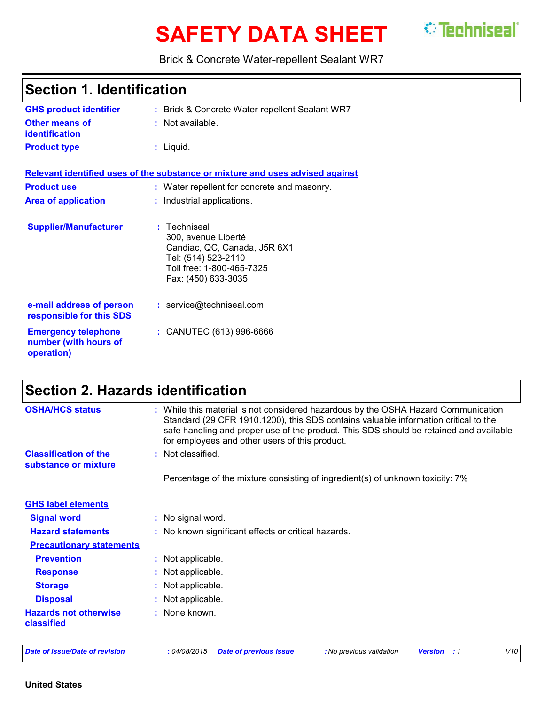# **SAFETY DATA SHEET** <sup>*©*</sup> Techniseal`</sup>



Brick & Concrete Water-repellent Sealant WR7

| <b>Section 1. Identification</b>                                  |                                                                                                                                                |
|-------------------------------------------------------------------|------------------------------------------------------------------------------------------------------------------------------------------------|
| <b>GHS product identifier</b>                                     | : Brick & Concrete Water-repellent Sealant WR7                                                                                                 |
| Other means of<br><b>identification</b>                           | $:$ Not available.                                                                                                                             |
| <b>Product type</b>                                               | $:$ Liquid.                                                                                                                                    |
|                                                                   | Relevant identified uses of the substance or mixture and uses advised against                                                                  |
| <b>Product use</b>                                                | : Water repellent for concrete and masonry.                                                                                                    |
| <b>Area of application</b>                                        | : Industrial applications.                                                                                                                     |
| <b>Supplier/Manufacturer</b>                                      | : Techniseal<br>300, avenue Liberté<br>Candiac, QC, Canada, J5R 6X1<br>Tel: (514) 523-2110<br>Toll free: 1-800-465-7325<br>Fax: (450) 633-3035 |
| e-mail address of person<br>responsible for this SDS              | : service@techniseal.com                                                                                                                       |
| <b>Emergency telephone</b><br>number (with hours of<br>operation) | : CANUTEC (613) 996-6666                                                                                                                       |

# **Section 2. Hazards identification**

| <b>OSHA/HCS status</b>                               | : While this material is not considered hazardous by the OSHA Hazard Communication<br>Standard (29 CFR 1910.1200), this SDS contains valuable information critical to the<br>safe handling and proper use of the product. This SDS should be retained and available<br>for employees and other users of this product. |
|------------------------------------------------------|-----------------------------------------------------------------------------------------------------------------------------------------------------------------------------------------------------------------------------------------------------------------------------------------------------------------------|
| <b>Classification of the</b><br>substance or mixture | : Not classified.                                                                                                                                                                                                                                                                                                     |
|                                                      | Percentage of the mixture consisting of ingredient(s) of unknown toxicity: 7%                                                                                                                                                                                                                                         |
| <b>GHS label elements</b>                            |                                                                                                                                                                                                                                                                                                                       |
| <b>Signal word</b>                                   | : No signal word.                                                                                                                                                                                                                                                                                                     |
| <b>Hazard statements</b>                             | : No known significant effects or critical hazards.                                                                                                                                                                                                                                                                   |
| <b>Precautionary statements</b>                      |                                                                                                                                                                                                                                                                                                                       |
| <b>Prevention</b>                                    | : Not applicable.                                                                                                                                                                                                                                                                                                     |
| <b>Response</b>                                      | : Not applicable.                                                                                                                                                                                                                                                                                                     |
| <b>Storage</b>                                       | : Not applicable.                                                                                                                                                                                                                                                                                                     |
| <b>Disposal</b>                                      | : Not applicable.                                                                                                                                                                                                                                                                                                     |
| <b>Hazards not otherwise</b><br>classified           | : None known.                                                                                                                                                                                                                                                                                                         |

*Date of issue/Date of revision* **:** *04/08/2015 Date of previous issue : No previous validation Version : 1 1/10*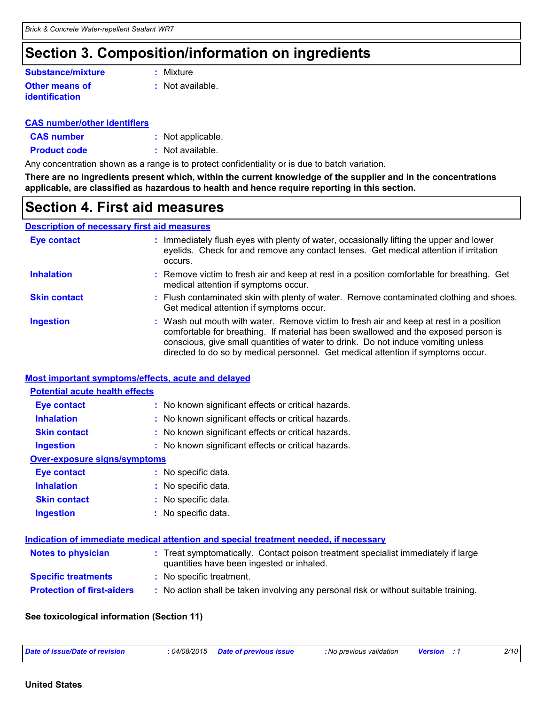# **Section 3. Composition/information on ingredients**

#### **Other means of identification Substance/mixture**

**:** Mixture

**:** Not available.

#### **CAS number/other identifiers**

- **CAS number :** Not applicable.
- **Product code :** Not available.

Any concentration shown as a range is to protect confidentiality or is due to batch variation.

**There are no ingredients present which, within the current knowledge of the supplier and in the concentrations applicable, are classified as hazardous to health and hence require reporting in this section.**

### **Section 4. First aid measures**

#### **Description of necessary first aid measures**

| <b>Eye contact</b>  | : Immediately flush eyes with plenty of water, occasionally lifting the upper and lower<br>eyelids. Check for and remove any contact lenses. Get medical attention if irritation<br>occurs.                                                                                                                                                            |
|---------------------|--------------------------------------------------------------------------------------------------------------------------------------------------------------------------------------------------------------------------------------------------------------------------------------------------------------------------------------------------------|
| <b>Inhalation</b>   | : Remove victim to fresh air and keep at rest in a position comfortable for breathing. Get<br>medical attention if symptoms occur.                                                                                                                                                                                                                     |
| <b>Skin contact</b> | : Flush contaminated skin with plenty of water. Remove contaminated clothing and shoes.<br>Get medical attention if symptoms occur.                                                                                                                                                                                                                    |
| <b>Ingestion</b>    | : Wash out mouth with water. Remove victim to fresh air and keep at rest in a position<br>comfortable for breathing. If material has been swallowed and the exposed person is<br>conscious, give small quantities of water to drink. Do not induce vomiting unless<br>directed to do so by medical personnel. Get medical attention if symptoms occur. |

#### **Most important symptoms/effects, acute and delayed**

| <b>Potential acute health effects</b> |                                                     |
|---------------------------------------|-----------------------------------------------------|
| <b>Eye contact</b>                    | : No known significant effects or critical hazards. |
| <b>Inhalation</b>                     | : No known significant effects or critical hazards. |
| <b>Skin contact</b>                   | : No known significant effects or critical hazards. |
| <b>Ingestion</b>                      | : No known significant effects or critical hazards. |
| Over-exposure signs/symptoms          |                                                     |
| <b>Eye contact</b>                    | : No specific data.                                 |
| <b>Inhalation</b>                     | : No specific data.                                 |
| <b>Skin contact</b>                   | : No specific data.                                 |
| <b>Ingestion</b>                      | : No specific data.                                 |

|                                   | Indication of immediate medical attention and special treatment needed, if necessary                                           |
|-----------------------------------|--------------------------------------------------------------------------------------------------------------------------------|
| <b>Notes to physician</b>         | : Treat symptomatically. Contact poison treatment specialist immediately if large<br>quantities have been ingested or inhaled. |
| <b>Specific treatments</b>        | : No specific treatment.                                                                                                       |
| <b>Protection of first-aiders</b> | : No action shall be taken involving any personal risk or without suitable training.                                           |

#### **See toxicological information (Section 11)**

| Date of issue/Date of revision | : 04/08/2015 Date of previous issue | : No previous validation | <b>Version</b> | 2/10 |
|--------------------------------|-------------------------------------|--------------------------|----------------|------|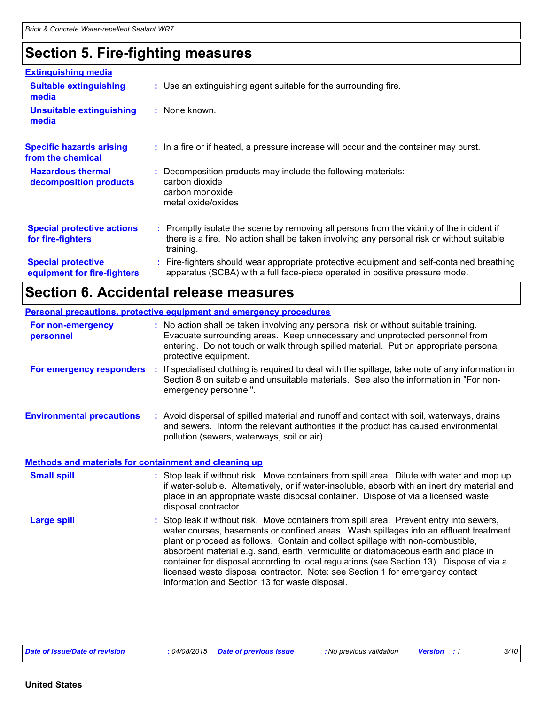# **Section 5. Fire-fighting measures**

| <b>Extinguishing media</b>                               |                                                                                                                                                                                                     |
|----------------------------------------------------------|-----------------------------------------------------------------------------------------------------------------------------------------------------------------------------------------------------|
| <b>Suitable extinguishing</b><br>media                   | : Use an extinguishing agent suitable for the surrounding fire.                                                                                                                                     |
| <b>Unsuitable extinguishing</b><br>media                 | : None known.                                                                                                                                                                                       |
| <b>Specific hazards arising</b><br>from the chemical     | : In a fire or if heated, a pressure increase will occur and the container may burst.                                                                                                               |
| <b>Hazardous thermal</b><br>decomposition products       | Decomposition products may include the following materials:<br>carbon dioxide<br>carbon monoxide<br>metal oxide/oxides                                                                              |
| <b>Special protective actions</b><br>for fire-fighters   | : Promptly isolate the scene by removing all persons from the vicinity of the incident if<br>there is a fire. No action shall be taken involving any personal risk or without suitable<br>training. |
| <b>Special protective</b><br>equipment for fire-fighters | : Fire-fighters should wear appropriate protective equipment and self-contained breathing<br>apparatus (SCBA) with a full face-piece operated in positive pressure mode.                            |

# **Section 6. Accidental release measures**

|                                                              | Personal precautions, protective equipment and emergency procedures                                                                                                                                                                                                                                                                                                                                                                                                                                                                                                                        |
|--------------------------------------------------------------|--------------------------------------------------------------------------------------------------------------------------------------------------------------------------------------------------------------------------------------------------------------------------------------------------------------------------------------------------------------------------------------------------------------------------------------------------------------------------------------------------------------------------------------------------------------------------------------------|
| For non-emergency<br>personnel                               | : No action shall be taken involving any personal risk or without suitable training.<br>Evacuate surrounding areas. Keep unnecessary and unprotected personnel from<br>entering. Do not touch or walk through spilled material. Put on appropriate personal<br>protective equipment.                                                                                                                                                                                                                                                                                                       |
| For emergency responders                                     | : If specialised clothing is required to deal with the spillage, take note of any information in<br>Section 8 on suitable and unsuitable materials. See also the information in "For non-<br>emergency personnel".                                                                                                                                                                                                                                                                                                                                                                         |
| <b>Environmental precautions</b>                             | : Avoid dispersal of spilled material and runoff and contact with soil, waterways, drains<br>and sewers. Inform the relevant authorities if the product has caused environmental<br>pollution (sewers, waterways, soil or air).                                                                                                                                                                                                                                                                                                                                                            |
| <b>Methods and materials for containment and cleaning up</b> |                                                                                                                                                                                                                                                                                                                                                                                                                                                                                                                                                                                            |
| <b>Small spill</b>                                           | : Stop leak if without risk. Move containers from spill area. Dilute with water and mop up<br>if water-soluble. Alternatively, or if water-insoluble, absorb with an inert dry material and<br>place in an appropriate waste disposal container. Dispose of via a licensed waste<br>disposal contractor.                                                                                                                                                                                                                                                                                   |
| <b>Large spill</b>                                           | : Stop leak if without risk. Move containers from spill area. Prevent entry into sewers,<br>water courses, basements or confined areas. Wash spillages into an effluent treatment<br>plant or proceed as follows. Contain and collect spillage with non-combustible,<br>absorbent material e.g. sand, earth, vermiculite or diatomaceous earth and place in<br>container for disposal according to local regulations (see Section 13). Dispose of via a<br>licensed waste disposal contractor. Note: see Section 1 for emergency contact<br>information and Section 13 for waste disposal. |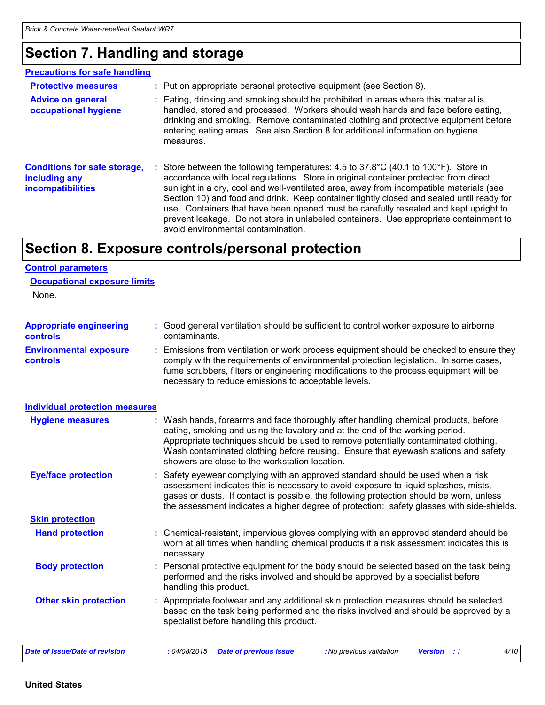# **Section 7. Handling and storage**

| <b>Precautions for safe handling</b>                                      |                                                                                                                                                                                                                                                                                                                                                                                                                                                                                                                                                                                                               |
|---------------------------------------------------------------------------|---------------------------------------------------------------------------------------------------------------------------------------------------------------------------------------------------------------------------------------------------------------------------------------------------------------------------------------------------------------------------------------------------------------------------------------------------------------------------------------------------------------------------------------------------------------------------------------------------------------|
| <b>Protective measures</b>                                                | : Put on appropriate personal protective equipment (see Section 8).                                                                                                                                                                                                                                                                                                                                                                                                                                                                                                                                           |
| <b>Advice on general</b><br>occupational hygiene                          | : Eating, drinking and smoking should be prohibited in areas where this material is<br>handled, stored and processed. Workers should wash hands and face before eating,<br>drinking and smoking. Remove contaminated clothing and protective equipment before<br>entering eating areas. See also Section 8 for additional information on hygiene<br>measures.                                                                                                                                                                                                                                                 |
| <b>Conditions for safe storage,</b><br>including any<br>incompatibilities | : Store between the following temperatures: 4.5 to $37.8^{\circ}$ C (40.1 to $100^{\circ}$ F). Store in<br>accordance with local regulations. Store in original container protected from direct<br>sunlight in a dry, cool and well-ventilated area, away from incompatible materials (see<br>Section 10) and food and drink. Keep container tightly closed and sealed until ready for<br>use. Containers that have been opened must be carefully resealed and kept upright to<br>prevent leakage. Do not store in unlabeled containers. Use appropriate containment to<br>avoid environmental contamination. |

# **Section 8. Exposure controls/personal protection**

#### **Control parameters**

|  | <b>Occupational exposure limits</b> |  |  |
|--|-------------------------------------|--|--|
|--|-------------------------------------|--|--|

None.

| <b>Appropriate engineering</b><br><b>controls</b> |    | : Good general ventilation should be sufficient to control worker exposure to airborne<br>contaminants.                                                                                                                                                                                                                                                                                           |
|---------------------------------------------------|----|---------------------------------------------------------------------------------------------------------------------------------------------------------------------------------------------------------------------------------------------------------------------------------------------------------------------------------------------------------------------------------------------------|
| <b>Environmental exposure</b><br><b>controls</b>  | ÷. | Emissions from ventilation or work process equipment should be checked to ensure they<br>comply with the requirements of environmental protection legislation. In some cases,<br>fume scrubbers, filters or engineering modifications to the process equipment will be<br>necessary to reduce emissions to acceptable levels.                                                                     |
| <b>Individual protection measures</b>             |    |                                                                                                                                                                                                                                                                                                                                                                                                   |
| <b>Hygiene measures</b>                           |    | : Wash hands, forearms and face thoroughly after handling chemical products, before<br>eating, smoking and using the lavatory and at the end of the working period.<br>Appropriate techniques should be used to remove potentially contaminated clothing.<br>Wash contaminated clothing before reusing. Ensure that eyewash stations and safety<br>showers are close to the workstation location. |
| <b>Eye/face protection</b>                        |    | : Safety eyewear complying with an approved standard should be used when a risk<br>assessment indicates this is necessary to avoid exposure to liquid splashes, mists,<br>gases or dusts. If contact is possible, the following protection should be worn, unless<br>the assessment indicates a higher degree of protection: safety glasses with side-shields.                                    |
| <b>Skin protection</b>                            |    |                                                                                                                                                                                                                                                                                                                                                                                                   |
| <b>Hand protection</b>                            |    | : Chemical-resistant, impervious gloves complying with an approved standard should be<br>worn at all times when handling chemical products if a risk assessment indicates this is<br>necessary.                                                                                                                                                                                                   |
| <b>Body protection</b>                            |    | : Personal protective equipment for the body should be selected based on the task being<br>performed and the risks involved and should be approved by a specialist before<br>handling this product.                                                                                                                                                                                               |
| <b>Other skin protection</b>                      |    | : Appropriate footwear and any additional skin protection measures should be selected<br>based on the task being performed and the risks involved and should be approved by a<br>specialist before handling this product.                                                                                                                                                                         |
| <b>Date of issue/Date of revision</b>             |    | : 04/08/2015<br><b>Date of previous issue</b><br>: No previous validation<br><b>Version</b> : 1<br>4/10                                                                                                                                                                                                                                                                                           |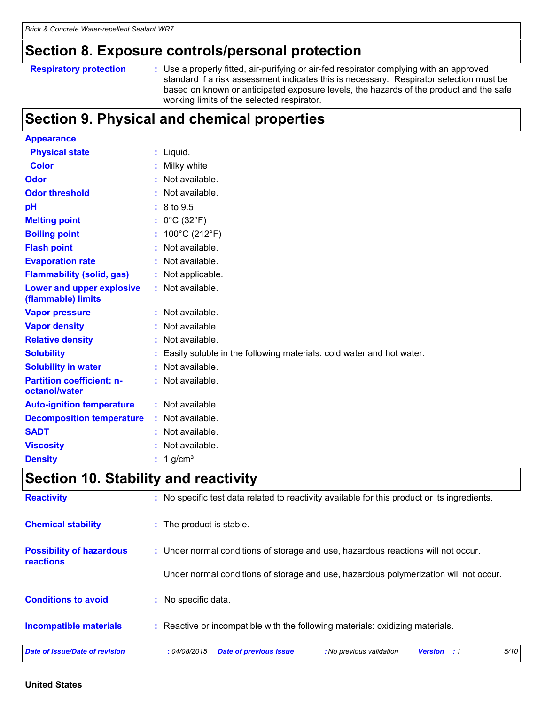### **Section 8. Exposure controls/personal protection**

```
Respiratory protection :
```
Use a properly fitted, air-purifying or air-fed respirator complying with an approved standard if a risk assessment indicates this is necessary. Respirator selection must be based on known or anticipated exposure levels, the hazards of the product and the safe working limits of the selected respirator.

# **Section 9. Physical and chemical properties**

| <b>Appearance</b>                                 |    |                                                                      |
|---------------------------------------------------|----|----------------------------------------------------------------------|
| <b>Physical state</b>                             |    | : Liquid.                                                            |
| <b>Color</b>                                      |    | : Milky white                                                        |
| <b>Odor</b>                                       | ÷. | Not available.                                                       |
| <b>Odor threshold</b>                             |    | : Not available.                                                     |
| pH                                                |    | : 8 to 9.5                                                           |
| <b>Melting point</b>                              |    | : $0^{\circ}$ C (32 $^{\circ}$ F)                                    |
| <b>Boiling point</b>                              |    | : $100^{\circ}$ C (212 $^{\circ}$ F)                                 |
| <b>Flash point</b>                                | t. | Not available.                                                       |
| <b>Evaporation rate</b>                           |    | : Not available.                                                     |
| <b>Flammability (solid, gas)</b>                  |    | : Not applicable.                                                    |
| Lower and upper explosive<br>(flammable) limits   |    | : Not available.                                                     |
| <b>Vapor pressure</b>                             |    | : Not available.                                                     |
| <b>Vapor density</b>                              |    | : Not available.                                                     |
| <b>Relative density</b>                           | ÷. | Not available.                                                       |
| <b>Solubility</b>                                 |    | Easily soluble in the following materials: cold water and hot water. |
| <b>Solubility in water</b>                        |    | : Not available.                                                     |
| <b>Partition coefficient: n-</b><br>octanol/water |    | : Not available.                                                     |
| <b>Auto-ignition temperature</b>                  |    | : Not available.                                                     |
| <b>Decomposition temperature</b>                  |    | : Not available.                                                     |
| <b>SADT</b>                                       |    | : Not available.                                                     |
| <b>Viscosity</b>                                  |    | Not available.                                                       |
| <b>Density</b>                                    |    | $: 1$ g/cm <sup>3</sup>                                              |

# **Section 10. Stability and reactivity**

| <b>Possibility of hazardous</b><br><b>reactions</b> | : Under normal conditions of storage and use, hazardous reactions will not occur.    |
|-----------------------------------------------------|--------------------------------------------------------------------------------------|
|                                                     | Under normal conditions of storage and use, hazardous polymerization will not occur. |
| <b>Conditions to avoid</b>                          | : No specific data.                                                                  |
| <b>Incompatible materials</b>                       | : Reactive or incompatible with the following materials: oxidizing materials.        |
|                                                     |                                                                                      |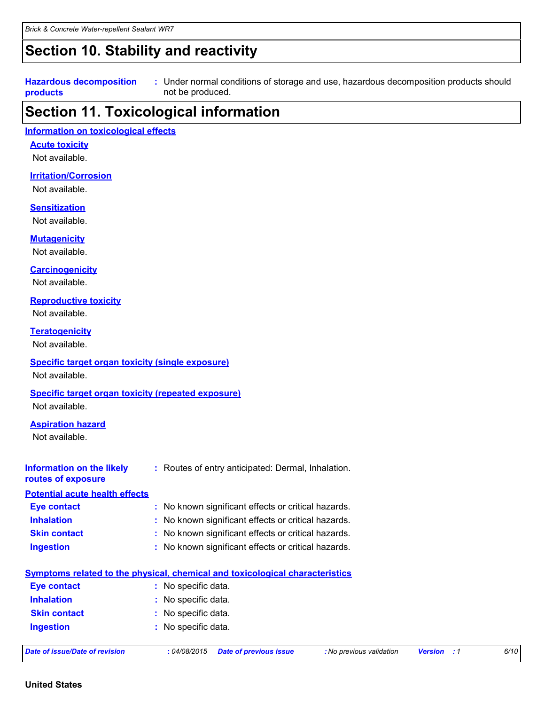# **Section 10. Stability and reactivity**

#### **Hazardous decomposition products**

Under normal conditions of storage and use, hazardous decomposition products should **:** not be produced.

# **Section 11. Toxicological information**

#### **Information on toxicological effects**

**Acute toxicity**

Not available.

#### **Irritation/Corrosion**

Not available.

#### **Sensitization**

Not available.

#### **Mutagenicity**

Not available.

#### **Carcinogenicity**

Not available.

#### **Reproductive toxicity**

Not available.

#### **Teratogenicity**

Not available.

#### **Specific target organ toxicity (single exposure)**

Not available.

#### **Specific target organ toxicity (repeated exposure)**

Not available.

#### **Aspiration hazard**

Not available.

| <b>Information on the likely</b><br>routes of exposure | : Routes of entry anticipated: Dermal, Inhalation.                                                          |
|--------------------------------------------------------|-------------------------------------------------------------------------------------------------------------|
| <b>Potential acute health effects</b>                  |                                                                                                             |
| <b>Eye contact</b>                                     | : No known significant effects or critical hazards.                                                         |
| <b>Inhalation</b>                                      | : No known significant effects or critical hazards.                                                         |
| <b>Skin contact</b>                                    | : No known significant effects or critical hazards.                                                         |
| <b>Ingestion</b>                                       | : No known significant effects or critical hazards.                                                         |
|                                                        | Symptoms related to the physical, chemical and toxicological characteristics                                |
| <b>Eye contact</b>                                     | : No specific data.                                                                                         |
| <b>Inhalation</b>                                      | : No specific data.                                                                                         |
| <b>Skin contact</b>                                    | : No specific data.                                                                                         |
| <b>Ingestion</b>                                       | : No specific data.                                                                                         |
| Date of issue/Date of revision                         | 6/10<br>:04/08/2015<br><b>Date of previous issue</b><br>: No previous validation<br><b>Version</b><br>- : 1 |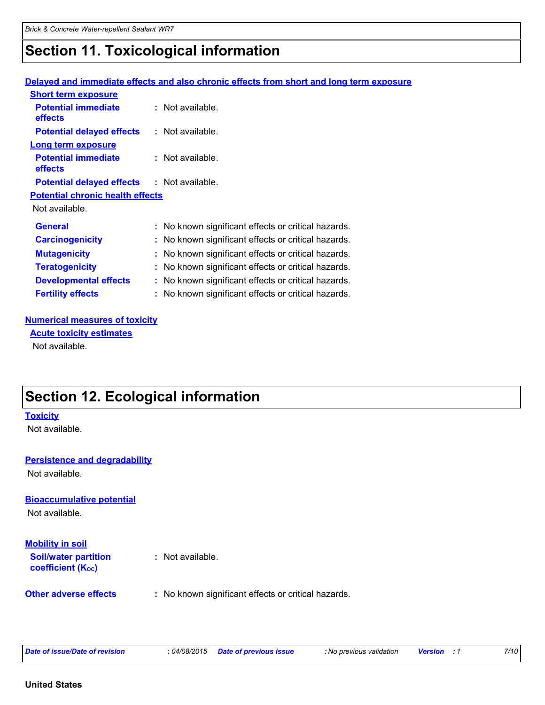# **Section 11. Toxicological information**

#### **Delayed and immediate effects and also chronic effects from short and long term exposure**

| <b>Short term exposure</b>                        |                                                     |
|---------------------------------------------------|-----------------------------------------------------|
| <b>Potential immediate</b><br>effects             | : Not available.                                    |
| <b>Potential delayed effects</b>                  | : Not available.                                    |
| <b>Long term exposure</b>                         |                                                     |
| <b>Potential immediate</b><br>effects             | $:$ Not available.                                  |
| <b>Potential delayed effects : Not available.</b> |                                                     |
| <b>Potential chronic health effects</b>           |                                                     |
| Not available.                                    |                                                     |
| <b>General</b>                                    | : No known significant effects or critical hazards. |
| <b>Carcinogenicity</b>                            | No known significant effects or critical hazards.   |
| <b>Mutagenicity</b>                               | No known significant effects or critical hazards.   |
| <b>Teratogenicity</b>                             | : No known significant effects or critical hazards. |
| <b>Developmental effects</b>                      | No known significant effects or critical hazards.   |
| <b>Fertility effects</b>                          | No known significant effects or critical hazards.   |

#### **Numerical measures of toxicity**

Not available. **Acute toxicity estimates**

# **Section 12. Ecological information**

#### **Toxicity**

Not available.

#### **Persistence and degradability**

Not available.

#### **Bioaccumulative potential**

Not available.

#### **Soil/water partition coefficient (Koc) :** Not available. **Mobility in soil**

**Other adverse effects** : No known significant effects or critical hazards.

|  |  | Date of issue/Date of revision |
|--|--|--------------------------------|
|  |  |                                |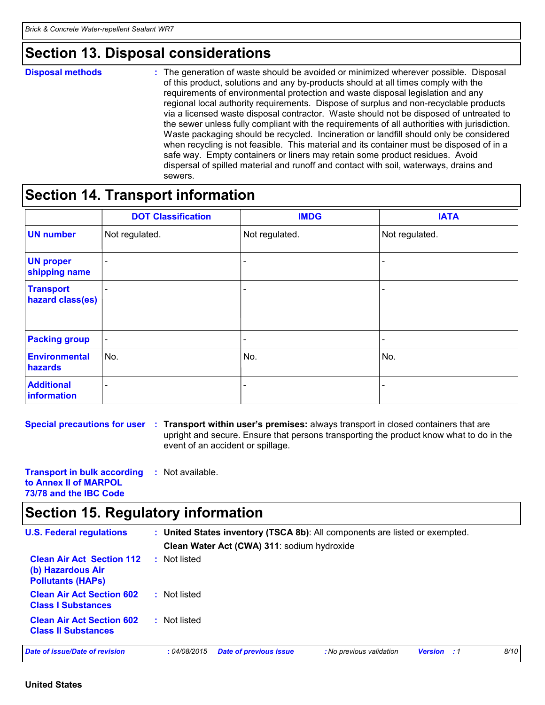### **Section 13. Disposal considerations**

**Disposal methods :**

The generation of waste should be avoided or minimized wherever possible. Disposal of this product, solutions and any by-products should at all times comply with the requirements of environmental protection and waste disposal legislation and any regional local authority requirements. Dispose of surplus and non-recyclable products via a licensed waste disposal contractor. Waste should not be disposed of untreated to the sewer unless fully compliant with the requirements of all authorities with jurisdiction. Waste packaging should be recycled. Incineration or landfill should only be considered when recycling is not feasible. This material and its container must be disposed of in a safe way. Empty containers or liners may retain some product residues. Avoid dispersal of spilled material and runoff and contact with soil, waterways, drains and sewers.

### **Section 14. Transport information**

|                                      | <b>DOT Classification</b> | <b>IMDG</b>              | <b>IATA</b>              |
|--------------------------------------|---------------------------|--------------------------|--------------------------|
| <b>UN number</b>                     | Not regulated.            | Not regulated.           | Not regulated.           |
| <b>UN proper</b><br>shipping name    |                           |                          |                          |
| <b>Transport</b><br>hazard class(es) | $\overline{\phantom{a}}$  |                          | $\overline{\phantom{0}}$ |
| <b>Packing group</b>                 | $\overline{\phantom{a}}$  | $\overline{\phantom{a}}$ | $\overline{\phantom{0}}$ |
| Environmental<br>hazards             | No.                       | No.                      | No.                      |
| <b>Additional</b><br>information     | -                         |                          |                          |

**Special precautions for user** : Transport within user's premises: always transport in closed containers that are upright and secure. Ensure that persons transporting the product know what to do in the event of an accident or spillage.

**Transport in bulk according to Annex II of MARPOL 73/78 and the IBC Code :** Not available.

# **Section 15. Regulatory information**

| <b>U.S. Federal regulations</b>                                                   |              | Clean Water Act (CWA) 311: sodium hydroxide | : United States inventory (TSCA 8b): All components are listed or exempted. |                |       |      |
|-----------------------------------------------------------------------------------|--------------|---------------------------------------------|-----------------------------------------------------------------------------|----------------|-------|------|
| <b>Clean Air Act Section 112</b><br>(b) Hazardous Air<br><b>Pollutants (HAPS)</b> | Not listed   |                                             |                                                                             |                |       |      |
| <b>Clean Air Act Section 602</b><br><b>Class I Substances</b>                     | : Not listed |                                             |                                                                             |                |       |      |
| <b>Clean Air Act Section 602</b><br><b>Class II Substances</b>                    | : Not listed |                                             |                                                                             |                |       |      |
| Date of issue/Date of revision                                                    | :04/08/2015  | <b>Date of previous issue</b>               | : No previous validation                                                    | <b>Version</b> | . . 1 | 8/10 |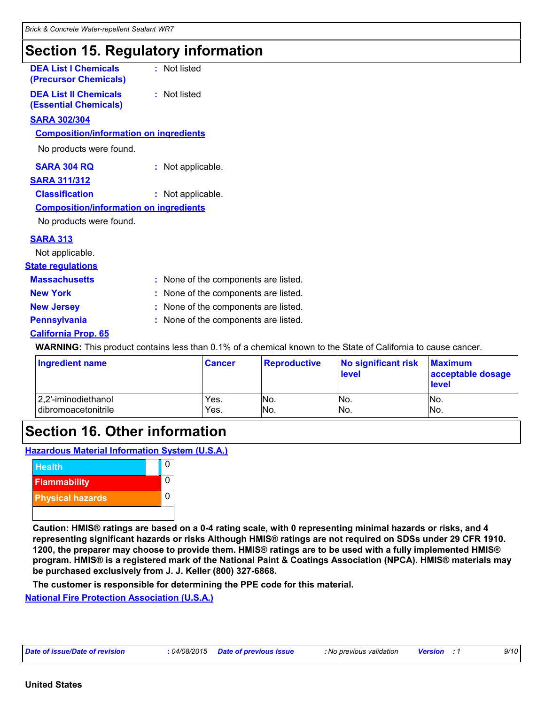# **Section 15. Regulatory information**

| <b>DEA List I Chemicals</b><br>(Precursor Chemicals)         | : Not listed                                                                                                        |
|--------------------------------------------------------------|---------------------------------------------------------------------------------------------------------------------|
| <b>DEA List II Chemicals</b><br><b>(Essential Chemicals)</b> | : Not listed                                                                                                        |
| <b>SARA 302/304</b>                                          |                                                                                                                     |
| <b>Composition/information on ingredients</b>                |                                                                                                                     |
| No products were found.                                      |                                                                                                                     |
| <b>SARA 304 RQ</b>                                           | : Not applicable.                                                                                                   |
| <b>SARA 311/312</b>                                          |                                                                                                                     |
| <b>Classification</b>                                        | : Not applicable.                                                                                                   |
| <b>Composition/information on ingredients</b>                |                                                                                                                     |
| No products were found.                                      |                                                                                                                     |
| <b>SARA 313</b>                                              |                                                                                                                     |
| Not applicable.                                              |                                                                                                                     |
| <b>State regulations</b>                                     |                                                                                                                     |
| <b>Massachusetts</b>                                         | : None of the components are listed.                                                                                |
| <b>New York</b>                                              | : None of the components are listed.                                                                                |
| <b>New Jersey</b>                                            | : None of the components are listed.                                                                                |
| <b>Pennsylvania</b>                                          | : None of the components are listed.                                                                                |
| <b>California Prop. 65</b>                                   |                                                                                                                     |
|                                                              | <b>WARNING:</b> This product contains less than 0.1% of a chemical known to the State of California to cause cancer |

| <b>Ingredient name</b> | <b>Cancer</b> | <b>Reproductive</b> | No significant risk<br><b>level</b> | <b>Maximum</b><br>acceptable dosage<br><b>level</b> |
|------------------------|---------------|---------------------|-------------------------------------|-----------------------------------------------------|
| 2,2'-iminodiethanol    | Yes.          | INO.                | No.                                 | No.                                                 |
| dibromoacetonitrile    | Yes.          | IN <sub>O</sub> .   | No.                                 | No.                                                 |

# **Section 16. Other information**

**Hazardous Material Information System (U.S.A.)**



**Caution: HMIS® ratings are based on a 0-4 rating scale, with 0 representing minimal hazards or risks, and 4 representing significant hazards or risks Although HMIS® ratings are not required on SDSs under 29 CFR 1910. 1200, the preparer may choose to provide them. HMIS® ratings are to be used with a fully implemented HMIS® program. HMIS® is a registered mark of the National Paint & Coatings Association (NPCA). HMIS® materials may be purchased exclusively from J. J. Keller (800) 327-6868.**

**The customer is responsible for determining the PPE code for this material.**

**National Fire Protection Association (U.S.A.)**